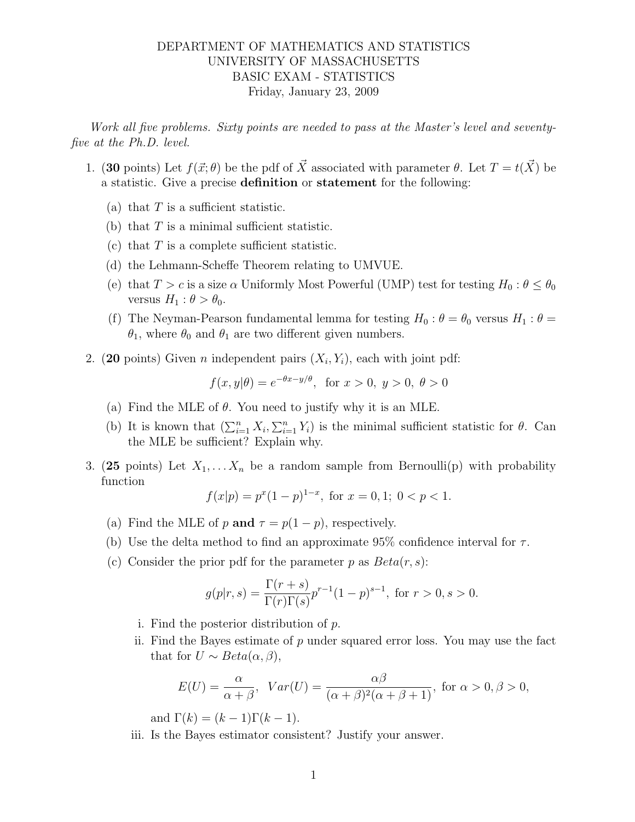## DEPARTMENT OF MATHEMATICS AND STATISTICS UNIVERSITY OF MASSACHUSETTS BASIC EXAM - STATISTICS Friday, January 23, 2009

Work all five problems. Sixty points are needed to pass at the Master's level and seventyfive at the Ph.D. level.

- 1. (30 points) Let  $f(\vec{x}; \theta)$  be the pdf of  $\vec{X}$  associated with parameter  $\theta$ . Let  $T = t(\vec{X})$  be a statistic. Give a precise definition or statement for the following:
	- (a) that  $T$  is a sufficient statistic.
	- (b) that  $T$  is a minimal sufficient statistic.
	- (c) that  $T$  is a complete sufficient statistic.
	- (d) the Lehmann-Scheffe Theorem relating to UMVUE.
	- (e) that  $T > c$  is a size  $\alpha$  Uniformly Most Powerful (UMP) test for testing  $H_0: \theta \leq \theta_0$ versus  $H_1$  :  $\theta > \theta_0$ .
	- (f) The Neyman-Pearson fundamental lemma for testing  $H_0$ :  $\theta = \theta_0$  versus  $H_1$ :  $\theta =$  $\theta_1$ , where  $\theta_0$  and  $\theta_1$  are two different given numbers.
- 2. (20 points) Given *n* independent pairs  $(X_i, Y_i)$ , each with joint pdf:

$$
f(x, y | \theta) = e^{-\theta x - y/\theta}
$$
, for  $x > 0$ ,  $y > 0$ ,  $\theta > 0$ 

- (a) Find the MLE of  $\theta$ . You need to justify why it is an MLE.
- (b) It is known that  $(\sum_{i=1}^n X_i, \sum_{i=1}^n Y_i)$  is the minimal sufficient statistic for  $\theta$ . Can the MLE be sufficient? Explain why.
- 3. (25 points) Let  $X_1, \ldots, X_n$  be a random sample from Bernoulli(p) with probability function

$$
f(x|p) = p^x (1-p)^{1-x}, \text{ for } x = 0, 1; \ 0 < p < 1.
$$

- (a) Find the MLE of p and  $\tau = p(1-p)$ , respectively.
- (b) Use the delta method to find an approximate  $95\%$  confidence interval for  $\tau$ .
- (c) Consider the prior pdf for the parameter p as  $Beta(r, s)$ :

$$
g(p|r,s) = \frac{\Gamma(r+s)}{\Gamma(r)\Gamma(s)} p^{r-1} (1-p)^{s-1}, \text{ for } r > 0, s > 0.
$$

- i. Find the posterior distribution of p.
- ii. Find the Bayes estimate of  $p$  under squared error loss. You may use the fact that for  $U \sim Beta(\alpha, \beta)$ ,

$$
E(U) = \frac{\alpha}{\alpha + \beta}, \quad Var(U) = \frac{\alpha\beta}{(\alpha + \beta)^2(\alpha + \beta + 1)}, \text{ for } \alpha > 0, \beta > 0,
$$

and  $\Gamma(k) = (k-1)\Gamma(k-1)$ .

iii. Is the Bayes estimator consistent? Justify your answer.